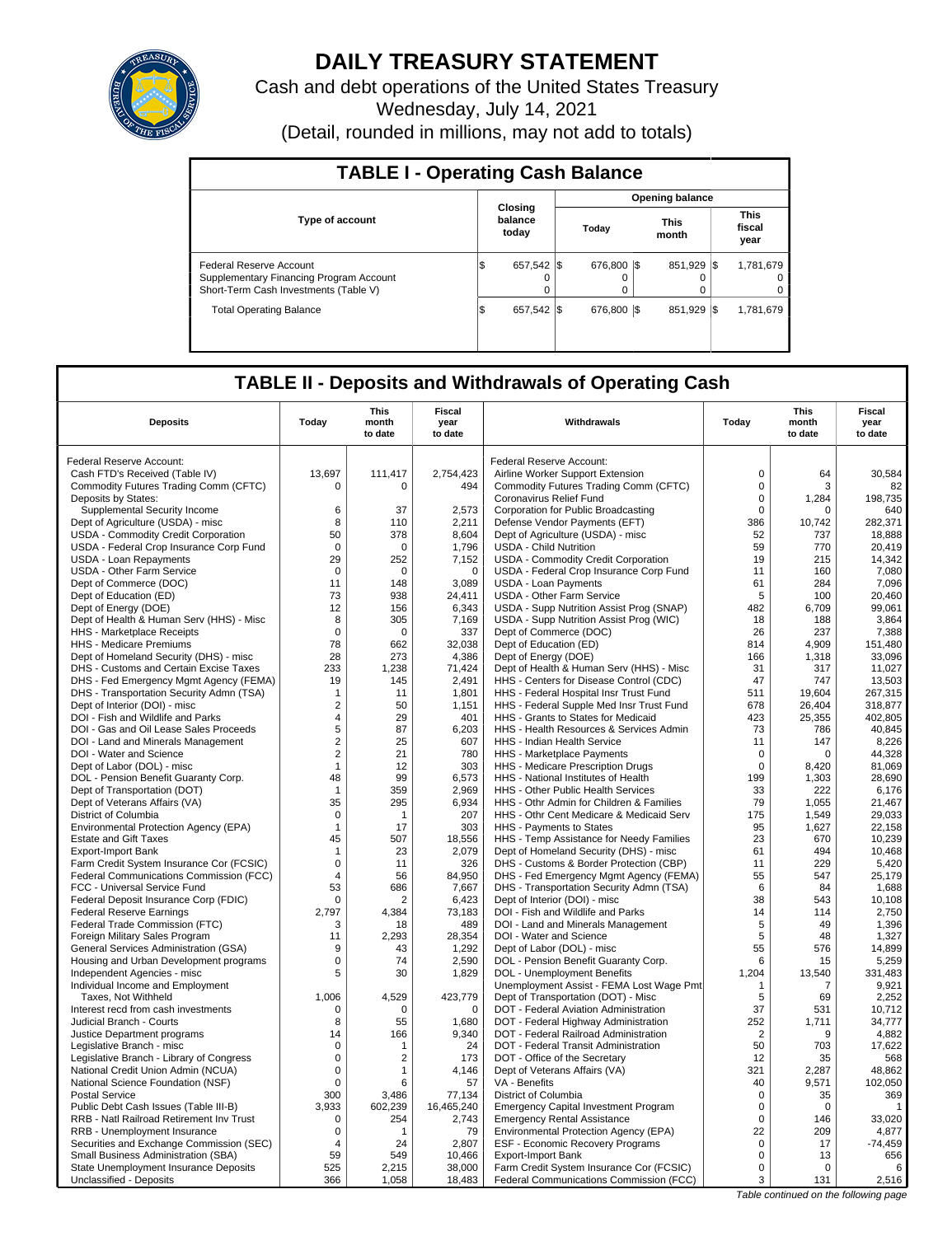

# **DAILY TREASURY STATEMENT**

Cash and debt operations of the United States Treasury Wednesday, July 14, 2021

(Detail, rounded in millions, may not add to totals)

| <b>TABLE I - Operating Cash Balance</b>                                                                     |                               |                        |                      |                               |  |  |  |  |  |
|-------------------------------------------------------------------------------------------------------------|-------------------------------|------------------------|----------------------|-------------------------------|--|--|--|--|--|
|                                                                                                             |                               | <b>Opening balance</b> |                      |                               |  |  |  |  |  |
| <b>Type of account</b>                                                                                      | Closing<br>balance<br>today   | Today                  | <b>This</b><br>month | <b>This</b><br>fiscal<br>year |  |  |  |  |  |
| Federal Reserve Account<br>Supplementary Financing Program Account<br>Short-Term Cash Investments (Table V) | 657.542 \\$<br>IS<br>$\Omega$ | 676,800 \$<br>0        | 851.929 \\$          | 1,781,679<br>0<br>0           |  |  |  |  |  |
| <b>Total Operating Balance</b>                                                                              | 657.542 \\$<br>I\$            | 676,800 \$             | 851.929 \\$          | 1,781,679                     |  |  |  |  |  |

## **TABLE II - Deposits and Withdrawals of Operating Cash**

| <b>Deposits</b>                            | Today            | This<br>month<br>to date | <b>Fiscal</b><br>year<br>to date | Withdrawals                                                       | Today          | <b>This</b><br>month<br>to date | Fiscal<br>year<br>to date |
|--------------------------------------------|------------------|--------------------------|----------------------------------|-------------------------------------------------------------------|----------------|---------------------------------|---------------------------|
| Federal Reserve Account:                   |                  |                          |                                  | Federal Reserve Account:                                          |                |                                 |                           |
| Cash FTD's Received (Table IV)             | 13,697           | 111,417                  | 2,754,423                        | Airline Worker Support Extension                                  | $\mathsf 0$    | 64                              | 30,584                    |
| Commodity Futures Trading Comm (CFTC)      | $\Omega$         | $\Omega$                 | 494                              | Commodity Futures Trading Comm (CFTC)                             | $\mathbf 0$    | 3                               | 82                        |
| Deposits by States:                        |                  |                          |                                  | Coronavirus Relief Fund                                           | $\mathbf 0$    | 1,284                           | 198,735                   |
| Supplemental Security Income               | 6                | 37                       | 2,573                            | Corporation for Public Broadcasting                               | $\mathbf 0$    | $\Omega$                        | 640                       |
| Dept of Agriculture (USDA) - misc          | 8                | 110                      | 2,211                            | Defense Vendor Payments (EFT)                                     | 386            | 10,742                          | 282,371                   |
| <b>USDA - Commodity Credit Corporation</b> | 50               | 378                      | 8,604                            | Dept of Agriculture (USDA) - misc                                 | 52             | 737                             | 18,888                    |
| USDA - Federal Crop Insurance Corp Fund    | $\mathbf 0$      | $\mathbf 0$              | 1,796                            | <b>USDA - Child Nutrition</b>                                     | 59             | 770                             | 20,419                    |
| USDA - Loan Repayments                     | 29               | 252                      | 7,152                            | USDA - Commodity Credit Corporation                               | 19             | 215                             | 14.342                    |
| USDA - Other Farm Service                  | $\mathbf 0$      | $\Omega$                 | $\mathbf 0$                      | USDA - Federal Crop Insurance Corp Fund                           | 11             | 160                             | 7,080                     |
| Dept of Commerce (DOC)                     | 11               | 148                      | 3,089                            | <b>USDA - Loan Payments</b>                                       | 61             | 284                             | 7,096                     |
| Dept of Education (ED)                     | 73               | 938                      | 24,411                           | USDA - Other Farm Service                                         | 5              | 100                             | 20,460                    |
|                                            | 12               | 156                      | 6,343                            |                                                                   | 482            | 6,709                           | 99,061                    |
| Dept of Energy (DOE)                       |                  |                          |                                  | USDA - Supp Nutrition Assist Prog (SNAP)                          |                |                                 |                           |
| Dept of Health & Human Serv (HHS) - Misc   | 8<br>$\mathbf 0$ | 305<br>$\Omega$          | 7,169<br>337                     | USDA - Supp Nutrition Assist Prog (WIC)<br>Dept of Commerce (DOC) | 18<br>26       | 188<br>237                      | 3,864<br>7,388            |
| HHS - Marketplace Receipts                 | 78               |                          | 32,038                           | Dept of Education (ED)                                            |                | 4,909                           | 151,480                   |
| <b>HHS - Medicare Premiums</b>             | 28               | 662<br>273               | 4,386                            |                                                                   | 814<br>166     | 1,318                           | 33,096                    |
| Dept of Homeland Security (DHS) - misc     |                  |                          |                                  | Dept of Energy (DOE)                                              |                |                                 |                           |
| DHS - Customs and Certain Excise Taxes     | 233              | 1,238                    | 71,424                           | Dept of Health & Human Serv (HHS) - Misc                          | 31             | 317                             | 11,027                    |
| DHS - Fed Emergency Mgmt Agency (FEMA)     | 19               | 145                      | 2.491                            | HHS - Centers for Disease Control (CDC)                           | 47             | 747                             | 13,503                    |
| DHS - Transportation Security Admn (TSA)   | $\mathbf{1}$     | 11                       | 1,801                            | HHS - Federal Hospital Insr Trust Fund                            | 511            | 19.604                          | 267,315                   |
| Dept of Interior (DOI) - misc              | $\overline{2}$   | 50                       | 1,151                            | HHS - Federal Supple Med Insr Trust Fund                          | 678            | 26,404                          | 318,877                   |
| DOI - Fish and Wildlife and Parks          | $\overline{4}$   | 29                       | 401                              | HHS - Grants to States for Medicaid                               | 423            | 25,355                          | 402,805                   |
| DOI - Gas and Oil Lease Sales Proceeds     | 5                | 87                       | 6,203                            | HHS - Health Resources & Services Admin                           | 73             | 786                             | 40.845                    |
| DOI - Land and Minerals Management         | $\overline{2}$   | 25                       | 607                              | HHS - Indian Health Service                                       | 11             | 147                             | 8,226                     |
| DOI - Water and Science                    | $\overline{2}$   | 21                       | 780                              | HHS - Marketplace Payments                                        | $\mathbf 0$    | 0                               | 44,328                    |
| Dept of Labor (DOL) - misc                 | $\mathbf{1}$     | 12                       | 303                              | HHS - Medicare Prescription Drugs                                 | 0              | 8,420                           | 81,069                    |
| DOL - Pension Benefit Guaranty Corp.       | 48               | 99                       | 6,573                            | HHS - National Institutes of Health                               | 199            | 1,303                           | 28,690                    |
| Dept of Transportation (DOT)               | $\mathbf{1}$     | 359                      | 2,969                            | HHS - Other Public Health Services                                | 33             | 222                             | 6,176                     |
| Dept of Veterans Affairs (VA)              | 35               | 295                      | 6,934                            | HHS - Othr Admin for Children & Families                          | 79             | 1,055                           | 21,467                    |
| District of Columbia                       | 0                | $\mathbf{1}$             | 207                              | HHS - Othr Cent Medicare & Medicaid Serv                          | 175            | 1,549                           | 29,033                    |
| Environmental Protection Agency (EPA)      | $\mathbf{1}$     | 17                       | 303                              | HHS - Payments to States                                          | 95             | 1,627                           | 22,158                    |
| <b>Estate and Gift Taxes</b>               | 45               | 507                      | 18,556                           | HHS - Temp Assistance for Needy Families                          | 23             | 670                             | 10,239                    |
| <b>Export-Import Bank</b>                  | $\mathbf{1}$     | 23                       | 2,079                            | Dept of Homeland Security (DHS) - misc                            | 61             | 494                             | 10,468                    |
| Farm Credit System Insurance Cor (FCSIC)   | $\mathbf 0$      | 11                       | 326                              | DHS - Customs & Border Protection (CBP)                           | 11             | 229                             | 5,420                     |
| Federal Communications Commission (FCC)    | $\overline{4}$   | 56                       | 84,950                           | DHS - Fed Emergency Mgmt Agency (FEMA)                            | 55             | 547                             | 25,179                    |
| FCC - Universal Service Fund               | 53               | 686                      | 7,667                            | DHS - Transportation Security Admn (TSA)                          | 6              | 84                              | 1,688                     |
| Federal Deposit Insurance Corp (FDIC)      | $\mathbf 0$      | $\overline{2}$           | 6.423                            | Dept of Interior (DOI) - misc                                     | 38             | 543                             | 10.108                    |
| <b>Federal Reserve Earnings</b>            | 2,797            | 4,384                    | 73,183                           | DOI - Fish and Wildlife and Parks                                 | 14             | 114                             | 2,750                     |
| Federal Trade Commission (FTC)             | 3                | 18                       | 489                              | DOI - Land and Minerals Management                                | 5              | 49                              | 1,396                     |
| Foreign Military Sales Program             | 11               | 2,293                    | 28,354                           | DOI - Water and Science                                           | 5              | 48                              | 1,327                     |
| General Services Administration (GSA)      | 9                | 43                       | 1,292                            | Dept of Labor (DOL) - misc                                        | 55             | 576                             | 14,899                    |
| Housing and Urban Development programs     | $\mathsf 0$      | 74                       | 2,590                            | DOL - Pension Benefit Guaranty Corp.                              | 6              | 15                              | 5,259                     |
| Independent Agencies - misc                | 5                | 30                       | 1,829                            | DOL - Unemployment Benefits                                       | 1,204          | 13,540                          | 331,483                   |
| Individual Income and Employment           |                  |                          |                                  | Unemployment Assist - FEMA Lost Wage Pmt                          | $\mathbf{1}$   | 7                               | 9,921                     |
| Taxes, Not Withheld                        | 1,006            | 4,529                    | 423,779                          | Dept of Transportation (DOT) - Misc                               | 5              | 69                              | 2,252                     |
| Interest recd from cash investments        | 0                | 0                        | $\mathbf 0$                      | DOT - Federal Aviation Administration                             | 37             | 531                             | 10,712                    |
| Judicial Branch - Courts                   | 8                | 55                       | 1,680                            | DOT - Federal Highway Administration                              | 252            | 1,711                           | 34,777                    |
| Justice Department programs                | 14               | 166                      | 9,340                            | DOT - Federal Railroad Administration                             | $\overline{2}$ | 9                               | 4,882                     |
| Legislative Branch - misc                  | 0                | 1                        | 24                               | DOT - Federal Transit Administration                              | 50             | 703                             | 17.622                    |
| Legislative Branch - Library of Congress   | $\mathsf 0$      | $\overline{2}$           | 173                              | DOT - Office of the Secretary                                     | 12             | 35                              | 568                       |
| National Credit Union Admin (NCUA)         | 0                | 1                        | 4.146                            | Dept of Veterans Affairs (VA)                                     | 321            | 2,287                           | 48,862                    |
| National Science Foundation (NSF)          | $\mathsf 0$      | 6                        | 57                               | VA - Benefits                                                     | 40             | 9,571                           | 102,050                   |
| <b>Postal Service</b>                      | 300              | 3.486                    | 77,134                           | District of Columbia                                              | $\mathbf 0$    | 35                              | 369                       |
| Public Debt Cash Issues (Table III-B)      | 3,933            | 602,239                  | 16,465,240                       | <b>Emergency Capital Investment Program</b>                       | $\mathbf 0$    | $\mathbf 0$                     | $\mathbf{1}$              |
| RRB - Natl Railroad Retirement Inv Trust   | $\Omega$         | 254                      | 2,743                            | <b>Emergency Rental Assistance</b>                                | $\Omega$       | 146                             | 33,020                    |
| RRB - Unemployment Insurance               | 0                | $\mathbf 1$              | 79                               | Environmental Protection Agency (EPA)                             | 22             | 209                             | 4,877                     |
| Securities and Exchange Commission (SEC)   | 4                | 24                       | 2,807                            | ESF - Economic Recovery Programs                                  | $\mathbf 0$    | 17                              | $-74,459$                 |
| Small Business Administration (SBA)        | 59               | 549                      | 10,466                           | <b>Export-Import Bank</b>                                         | $\mathbf 0$    | 13                              | 656                       |
| State Unemployment Insurance Deposits      | 525              | 2,215                    | 38,000                           | Farm Credit System Insurance Cor (FCSIC)                          | $\mathbf 0$    | 0                               | 6                         |
| Unclassified - Deposits                    | 366              | 1,058                    | 18,483                           | Federal Communications Commission (FCC)                           | 3              | 131                             | 2,516                     |

Table continued on the following page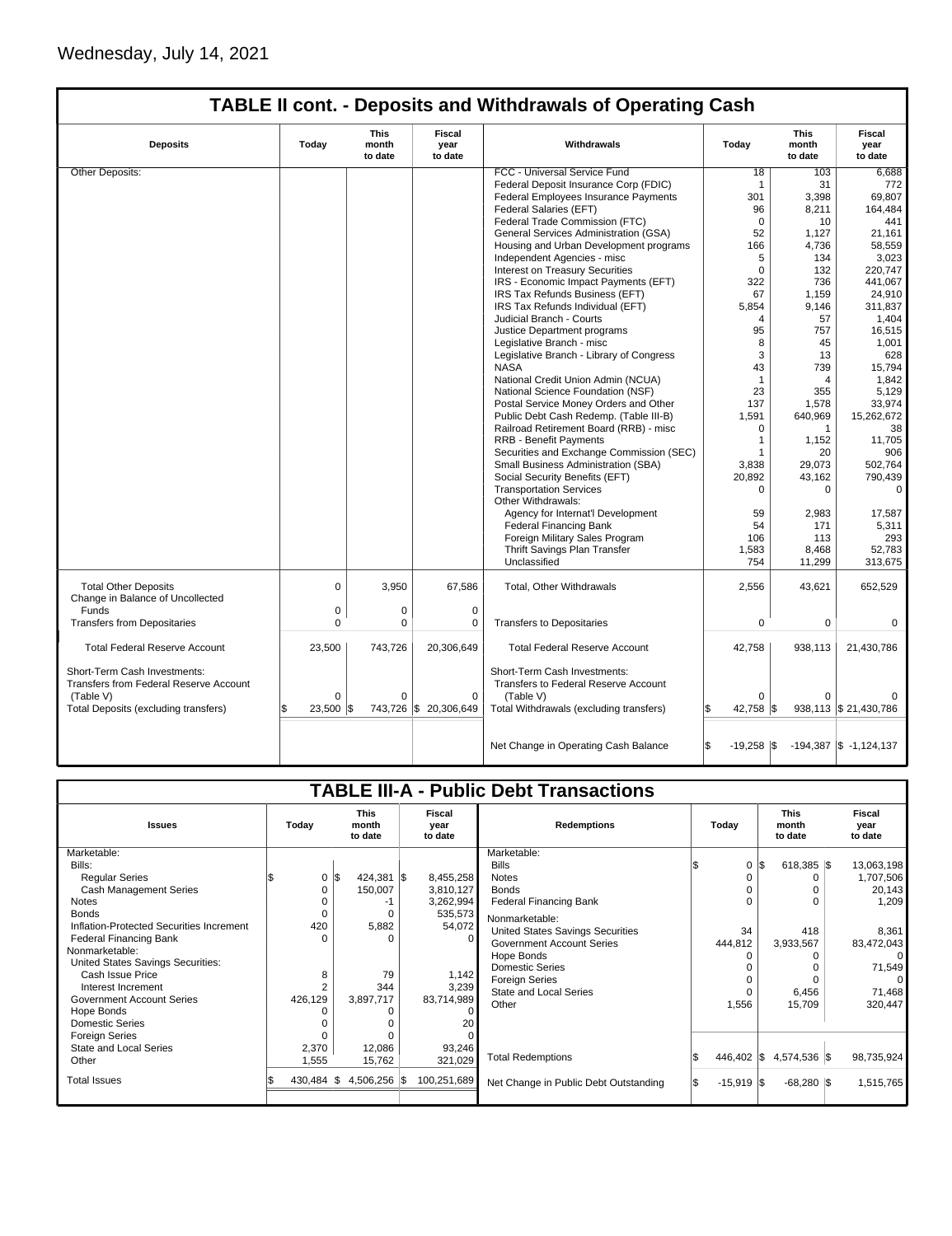# **TABLE II cont. - Deposits and Withdrawals of Operating Cash**

| <b>Deposits</b>                                                               | This<br><b>Fiscal</b><br>Withdrawals<br>Today<br>month<br>year<br>to date<br>to date |          | Today                 | This<br>month<br>to date                                             | Fiscal<br>year<br>to date |              |                            |
|-------------------------------------------------------------------------------|--------------------------------------------------------------------------------------|----------|-----------------------|----------------------------------------------------------------------|---------------------------|--------------|----------------------------|
| <b>Other Deposits:</b>                                                        |                                                                                      |          |                       | FCC - Universal Service Fund                                         | 18                        | 103          | 6,688                      |
|                                                                               |                                                                                      |          |                       | Federal Deposit Insurance Corp (FDIC)                                | $\mathbf 1$               | 31           | 772                        |
|                                                                               |                                                                                      |          |                       | Federal Employees Insurance Payments                                 | 301                       | 3,398        | 69.807                     |
|                                                                               |                                                                                      |          |                       | Federal Salaries (EFT)                                               | 96                        | 8,211        | 164,484                    |
|                                                                               |                                                                                      |          |                       | Federal Trade Commission (FTC)                                       | $\mathbf 0$               | 10           | 441                        |
|                                                                               |                                                                                      |          |                       | General Services Administration (GSA)                                | 52                        | 1,127        | 21,161                     |
|                                                                               |                                                                                      |          |                       | Housing and Urban Development programs                               | 166                       | 4,736        | 58,559                     |
|                                                                               |                                                                                      |          |                       | Independent Agencies - misc                                          | 5                         | 134          | 3,023                      |
|                                                                               |                                                                                      |          |                       | <b>Interest on Treasury Securities</b>                               | $\Omega$                  | 132          | 220,747                    |
|                                                                               |                                                                                      |          |                       | IRS - Economic Impact Payments (EFT)                                 | 322                       | 736          | 441,067                    |
|                                                                               |                                                                                      |          |                       | IRS Tax Refunds Business (EFT)                                       | 67                        | 1,159        | 24,910                     |
|                                                                               |                                                                                      |          |                       | IRS Tax Refunds Individual (EFT)                                     | 5,854                     | 9,146        | 311,837                    |
|                                                                               |                                                                                      |          |                       |                                                                      |                           |              |                            |
|                                                                               |                                                                                      |          |                       | Judicial Branch - Courts                                             | 4                         | 57           | 1,404                      |
|                                                                               |                                                                                      |          |                       | Justice Department programs                                          | 95                        | 757          | 16,515                     |
|                                                                               |                                                                                      |          |                       | Legislative Branch - misc                                            | 8                         | 45           | 1,001                      |
|                                                                               |                                                                                      |          |                       | Legislative Branch - Library of Congress                             | 3                         | 13           | 628                        |
|                                                                               |                                                                                      |          |                       | <b>NASA</b>                                                          | 43                        | 739          | 15,794                     |
|                                                                               |                                                                                      |          |                       | National Credit Union Admin (NCUA)                                   | $\mathbf{1}$              | 4            | 1,842                      |
|                                                                               |                                                                                      |          |                       | National Science Foundation (NSF)                                    | 23                        | 355          | 5.129                      |
|                                                                               |                                                                                      |          |                       | Postal Service Money Orders and Other                                | 137                       | 1,578        | 33,974                     |
|                                                                               |                                                                                      |          |                       | Public Debt Cash Redemp. (Table III-B)                               | 1,591                     | 640,969      | 15,262,672                 |
|                                                                               |                                                                                      |          |                       | Railroad Retirement Board (RRB) - misc                               | $\Omega$                  | $\mathbf{1}$ | 38                         |
|                                                                               |                                                                                      |          |                       | <b>RRB - Benefit Payments</b>                                        | 1                         | 1,152        | 11,705                     |
|                                                                               |                                                                                      |          |                       | Securities and Exchange Commission (SEC)                             | 1                         | 20           | 906                        |
|                                                                               |                                                                                      |          |                       | Small Business Administration (SBA)                                  | 3,838                     | 29,073       | 502,764                    |
|                                                                               |                                                                                      |          |                       | Social Security Benefits (EFT)                                       | 20,892                    | 43,162       | 790,439                    |
|                                                                               |                                                                                      |          |                       | <b>Transportation Services</b>                                       | $\Omega$                  | 0            | $\Omega$                   |
|                                                                               |                                                                                      |          |                       | Other Withdrawals:                                                   |                           |              |                            |
|                                                                               |                                                                                      |          |                       | Agency for Internat'l Development                                    | 59                        | 2,983        | 17,587                     |
|                                                                               |                                                                                      |          |                       | <b>Federal Financing Bank</b>                                        | 54                        | 171          | 5,311                      |
|                                                                               |                                                                                      |          |                       | Foreign Military Sales Program                                       | 106                       | 113          | 293                        |
|                                                                               |                                                                                      |          |                       | Thrift Savings Plan Transfer                                         | 1,583                     | 8,468        | 52,783                     |
|                                                                               |                                                                                      |          |                       | Unclassified                                                         | 754                       | 11,299       | 313.675                    |
|                                                                               |                                                                                      |          |                       |                                                                      |                           |              |                            |
| <b>Total Other Deposits</b><br>Change in Balance of Uncollected               | $\mathbf 0$                                                                          | 3.950    | 67,586                | Total, Other Withdrawals                                             | 2,556                     | 43,621       | 652,529                    |
| Funds                                                                         | $\mathbf 0$                                                                          | 0        | $\mathbf 0$           |                                                                      |                           |              |                            |
| <b>Transfers from Depositaries</b>                                            | $\mathbf 0$                                                                          | 0        | 0                     | <b>Transfers to Depositaries</b>                                     | 0                         | 0            | 0                          |
| <b>Total Federal Reserve Account</b>                                          | 23,500                                                                               | 743,726  | 20,306,649            | <b>Total Federal Reserve Account</b>                                 | 42,758                    | 938,113      | 21,430,786                 |
| Short-Term Cash Investments:<br><b>Transfers from Federal Reserve Account</b> |                                                                                      |          |                       | Short-Term Cash Investments:<br>Transfers to Federal Reserve Account |                           |              |                            |
| (Table V)                                                                     | $\Omega$                                                                             | $\Omega$ | $\Omega$              | (Table V)                                                            | $\Omega$                  | $\Omega$     |                            |
| Total Deposits (excluding transfers)                                          | 23,500 \$                                                                            |          | 743,726 \$ 20,306,649 | Total Withdrawals (excluding transfers)                              | 42,758                    |              | 938,113 \$ 21,430,786      |
|                                                                               |                                                                                      |          |                       |                                                                      |                           |              |                            |
|                                                                               |                                                                                      |          |                       | Net Change in Operating Cash Balance                                 | \$.<br>$-19,258$ \\$      |              | $-194,387$ \$ $-1,124,137$ |

| <b>TABLE III-A - Public Debt Transactions</b>                                                                                                                                                                                                                                                                                                                                                                                |  |                                                                                   |          |                                                                            |                           |                                                                                                          |                                                                                                                                                                                                                                                                                                   |  |                                    |    |                                                                      |                                 |                                                                                                                   |                                  |
|------------------------------------------------------------------------------------------------------------------------------------------------------------------------------------------------------------------------------------------------------------------------------------------------------------------------------------------------------------------------------------------------------------------------------|--|-----------------------------------------------------------------------------------|----------|----------------------------------------------------------------------------|---------------------------|----------------------------------------------------------------------------------------------------------|---------------------------------------------------------------------------------------------------------------------------------------------------------------------------------------------------------------------------------------------------------------------------------------------------|--|------------------------------------|----|----------------------------------------------------------------------|---------------------------------|-------------------------------------------------------------------------------------------------------------------|----------------------------------|
| <b>Issues</b>                                                                                                                                                                                                                                                                                                                                                                                                                |  | Today                                                                             |          | <b>This</b><br>month<br>to date                                            | Fiscal<br>vear<br>to date |                                                                                                          | <b>Redemptions</b>                                                                                                                                                                                                                                                                                |  | Todav                              |    |                                                                      | <b>This</b><br>month<br>to date |                                                                                                                   | <b>Fiscal</b><br>vear<br>to date |
| Marketable:<br>Bills:<br><b>Regular Series</b><br><b>Cash Management Series</b><br><b>Notes</b><br><b>Bonds</b><br>Inflation-Protected Securities Increment<br><b>Federal Financing Bank</b><br>Nonmarketable:<br>United States Savings Securities:<br>Cash Issue Price<br>Interest Increment<br><b>Government Account Series</b><br>Hope Bonds<br><b>Domestic Series</b><br><b>Foreign Series</b><br>State and Local Series |  | $0 \,$ $\upbeta$<br>0<br>0<br>420<br>O<br>8<br>$\overline{2}$<br>426,129<br>2,370 |          | $424,381$ \$<br>150,007<br>-1<br>5,882<br>79<br>344<br>3,897,717<br>12,086 |                           | 8,455,258<br>3,810,127<br>3,262,994<br>535,573<br>54,072<br>1,142<br>3,239<br>83,714,989<br>20<br>93,246 | Marketable:<br><b>Bills</b><br><b>Notes</b><br><b>Bonds</b><br><b>Federal Financing Bank</b><br>Nonmarketable:<br>United States Savings Securities<br><b>Government Account Series</b><br>Hope Bonds<br><b>Domestic Series</b><br><b>Foreign Series</b><br><b>State and Local Series</b><br>Other |  | $\Omega$<br>34<br>444,812<br>1,556 | \$ | $618,385$ \$<br>$\Omega$<br>O<br>418<br>3,933,567<br>6,456<br>15,709 |                                 | 13,063,198<br>1,707,506<br>20,143<br>1,209<br>8,361<br>83,472,043<br>0<br>71,549<br>$\Omega$<br>71,468<br>320.447 |                                  |
| Other                                                                                                                                                                                                                                                                                                                                                                                                                        |  | 1,555                                                                             |          | 15,762                                                                     |                           | 321,029                                                                                                  | <b>Total Redemptions</b>                                                                                                                                                                                                                                                                          |  | 446,402 \$                         |    | 4,574,536 \$                                                         |                                 | 98,735,924                                                                                                        |                                  |
| <b>Total Issues</b>                                                                                                                                                                                                                                                                                                                                                                                                          |  | 430,484                                                                           | <b>S</b> | 4,506,256 \$                                                               |                           | 100,251,689                                                                                              | Net Change in Public Debt Outstanding                                                                                                                                                                                                                                                             |  | $-15,919$ $\sqrt{5}$               |    | $-68,280$ \\$                                                        |                                 | 1,515,765                                                                                                         |                                  |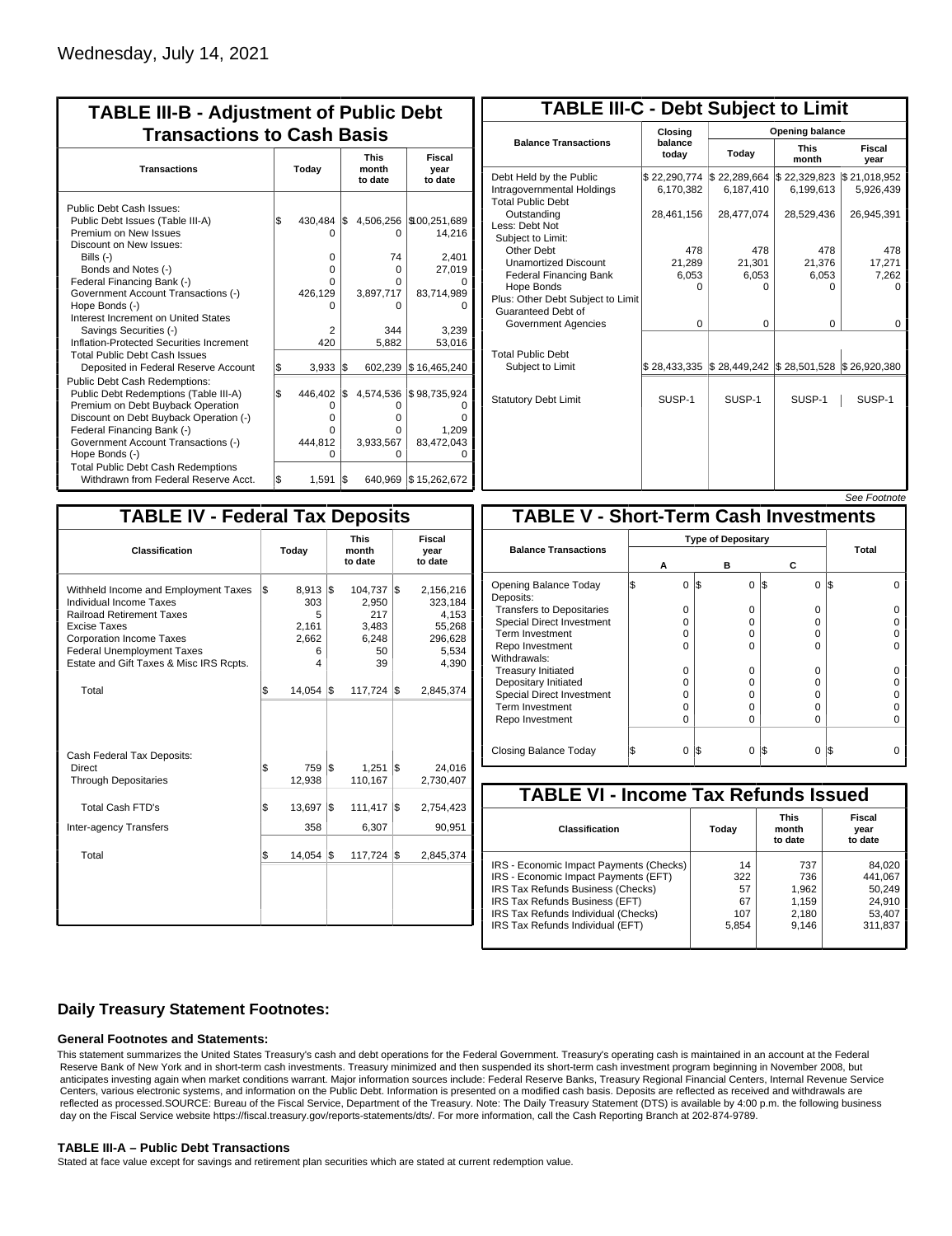| <b>TABLE III-B - Adjustment of Public Debt</b><br><b>Transactions to Cash Basis</b> |                                                     |              |                                                                |                                                                             |  |  |  |  |  |
|-------------------------------------------------------------------------------------|-----------------------------------------------------|--------------|----------------------------------------------------------------|-----------------------------------------------------------------------------|--|--|--|--|--|
|                                                                                     | <b>Today</b>                                        |              | <b>This</b><br>month<br>to date                                | Fiscal<br>year<br>to date                                                   |  |  |  |  |  |
| l\$                                                                                 | O<br>$\Omega$<br>$\Omega$<br>O<br>426,129<br>O<br>2 |              | 4,506,256<br>0<br>74<br>$\Omega$<br>O<br>3,897,717<br>0<br>344 | \$100,251,689<br>14,216<br>2,401<br>27,019<br>83,714,989<br>3.239<br>53,016 |  |  |  |  |  |
| \$<br>l\$                                                                           | 3,933<br>446,402<br>0<br>O<br>0<br>444.812<br>O     | l\$<br>\$    | 602,239<br>4,574,536<br>0<br>0<br>O<br>3,933,567<br>$\Omega$   | \$16,465,240<br>\$98,735,924<br>1.209<br>83,472,043                         |  |  |  |  |  |
|                                                                                     | \$                                                  | 420<br>1,591 | 430,484 \$<br>S.                                               | 5,882<br>\$15,262,672<br>640,969                                            |  |  |  |  |  |

| <b>TABLE III-C - Debt Subject to Limit</b>                                        |                           |                                                                            |                           |                           |  |  |  |  |  |
|-----------------------------------------------------------------------------------|---------------------------|----------------------------------------------------------------------------|---------------------------|---------------------------|--|--|--|--|--|
|                                                                                   | Closing                   | Opening balance                                                            |                           |                           |  |  |  |  |  |
| <b>Balance Transactions</b>                                                       | balance<br>today          | Today                                                                      | <b>This</b><br>month      | Fiscal<br>year            |  |  |  |  |  |
| Debt Held by the Public<br>Intragovernmental Holdings<br><b>Total Public Debt</b> | \$22,290,774<br>6,170,382 | \$22,289,664<br>6.187.410                                                  | \$22,329,823<br>6,199,613 | \$21,018,952<br>5,926,439 |  |  |  |  |  |
| Outstanding<br>Less: Debt Not<br>Subject to Limit:                                | 28,461,156                | 28,477,074                                                                 | 28,529,436                | 26,945,391                |  |  |  |  |  |
| Other Debt                                                                        | 478                       | 478                                                                        | 478                       | 478                       |  |  |  |  |  |
| <b>Unamortized Discount</b>                                                       | 21,289                    | 21,301                                                                     | 21,376                    | 17,271                    |  |  |  |  |  |
| <b>Federal Financing Bank</b>                                                     | 6,053                     | 6,053                                                                      | 6,053                     | 7,262                     |  |  |  |  |  |
| Hope Bonds<br>Plus: Other Debt Subject to Limit<br>Guaranteed Debt of             | O                         | O                                                                          | O                         | o                         |  |  |  |  |  |
| Government Agencies                                                               | 0                         | 0                                                                          | 0                         | 0                         |  |  |  |  |  |
| <b>Total Public Debt</b><br>Subject to Limit                                      | \$28,433,335              | $\frac{1}{2}$ 28,449,242 $\frac{1}{2}$ 28,501,528 $\frac{1}{2}$ 26,920,380 |                           |                           |  |  |  |  |  |
| <b>Statutory Debt Limit</b>                                                       | SUSP-1                    | SUSP-1                                                                     | SUSP-1                    | SUSP-1                    |  |  |  |  |  |
|                                                                                   |                           |                                                                            |                           |                           |  |  |  |  |  |

| See Footnote |
|--------------|
|              |

| <b>TABLE IV - Federal Tax Deposits</b>                                                                                                                                                                                                 |    |                                                            |     |                                                          |     |                                                                      |  |  |
|----------------------------------------------------------------------------------------------------------------------------------------------------------------------------------------------------------------------------------------|----|------------------------------------------------------------|-----|----------------------------------------------------------|-----|----------------------------------------------------------------------|--|--|
| Classification                                                                                                                                                                                                                         |    | Today                                                      |     | <b>This</b><br>month<br>to date                          |     | Fiscal<br>year<br>to date                                            |  |  |
| Withheld Income and Employment Taxes<br>Individual Income Taxes<br><b>Railroad Retirement Taxes</b><br>Excise Taxes<br><b>Corporation Income Taxes</b><br><b>Federal Unemployment Taxes</b><br>Estate and Gift Taxes & Misc IRS Rcpts. | \$ | $8,913$ $\sqrt{5}$<br>303<br>5<br>2,161<br>2,662<br>6<br>4 |     | 104,737 \$<br>2,950<br>217<br>3.483<br>6,248<br>50<br>39 |     | 2,156,216<br>323,184<br>4,153<br>55,268<br>296,628<br>5,534<br>4,390 |  |  |
| Total                                                                                                                                                                                                                                  | \$ | 14,054                                                     | 1\$ | 117,724                                                  | l\$ | 2,845,374                                                            |  |  |
| Cash Federal Tax Deposits:<br>Direct<br><b>Through Depositaries</b>                                                                                                                                                                    | \$ | 759<br>12,938                                              | l\$ | 1,251<br>110,167                                         | 1\$ | 24,016<br>2,730,407                                                  |  |  |
| Total Cash FTD's<br><b>Inter-agency Transfers</b>                                                                                                                                                                                      | \$ | 13,697<br>358                                              | 1\$ | 111,417<br>6,307                                         | l\$ | 2,754,423<br>90,951                                                  |  |  |
| Total                                                                                                                                                                                                                                  | \$ | 14,054                                                     | 1\$ | 117,724 \$                                               |     | 2,845,374                                                            |  |  |
|                                                                                                                                                                                                                                        |    |                                                            |     |                                                          |     |                                                                      |  |  |

|                                              |   |                           |     |          |          | סט <i>ו</i> ווטט ו ססט |  |  |
|----------------------------------------------|---|---------------------------|-----|----------|----------|------------------------|--|--|
| <b>TABLE V - Short-Term Cash Investments</b> |   |                           |     |          |          |                        |  |  |
|                                              |   | <b>Type of Depositary</b> |     |          |          |                        |  |  |
| <b>Balance Transactions</b>                  | А |                           |     | в        | с        | Total                  |  |  |
|                                              |   |                           |     |          |          |                        |  |  |
| Opening Balance Today<br>Deposits:           | S | 0                         | 1\$ | 0        | 1\$<br>0 | IS                     |  |  |
| <b>Transfers to Depositaries</b>             |   | O                         |     | $\Omega$ | O        |                        |  |  |
| Special Direct Investment                    |   | O                         |     | 0        | 0        |                        |  |  |
| Term Investment                              |   | O                         |     | 0        | 0        |                        |  |  |
| Repo Investment                              |   | O                         |     | $\Omega$ | O        |                        |  |  |
| Withdrawals:                                 |   |                           |     |          |          |                        |  |  |
| <b>Treasury Initiated</b>                    |   | $\Omega$                  |     | $\Omega$ | O        |                        |  |  |
| Depositary Initiated                         |   | O                         |     | 0        | 0        |                        |  |  |
| <b>Special Direct Investment</b>             |   | O                         |     | 0        | 0        |                        |  |  |
| <b>Term Investment</b>                       |   | O                         |     | $\Omega$ | 0        |                        |  |  |
| Repo Investment                              |   | 0                         |     | $\Omega$ | 0        | 0                      |  |  |
|                                              |   |                           |     |          |          |                        |  |  |
| Closing Balance Today                        |   | 0                         | I\$ | 0        | l\$<br>0 | IS                     |  |  |

| <b>TABLE VI - Income Tax Refunds Issued</b>                                                                                                                                                                                       |                                       |                                                |                                                            |  |  |  |  |  |  |
|-----------------------------------------------------------------------------------------------------------------------------------------------------------------------------------------------------------------------------------|---------------------------------------|------------------------------------------------|------------------------------------------------------------|--|--|--|--|--|--|
| <b>Classification</b>                                                                                                                                                                                                             | Today                                 | <b>This</b><br>month<br>to date                | Fiscal<br>year<br>to date                                  |  |  |  |  |  |  |
| IRS - Economic Impact Payments (Checks)<br>IRS - Economic Impact Payments (EFT)<br>IRS Tax Refunds Business (Checks)<br>IRS Tax Refunds Business (EFT)<br>IRS Tax Refunds Individual (Checks)<br>IRS Tax Refunds Individual (EFT) | 14<br>322<br>57<br>67<br>107<br>5,854 | 737<br>736<br>1,962<br>1.159<br>2,180<br>9,146 | 84,020<br>441,067<br>50,249<br>24,910<br>53,407<br>311,837 |  |  |  |  |  |  |

## **Daily Treasury Statement Footnotes:**

## **General Footnotes and Statements:**

This statement summarizes the United States Treasury's cash and debt operations for the Federal Government. Treasury's operating cash is maintained in an account at the Federal Reserve Bank of New York and in short-term cash investments. Treasury minimized and then suspended its short-term cash investment program beginning in November 2008, but anticipates investing again when market conditions warrant. Major information sources include: Federal Reserve Banks, Treasury Regional Financial Centers, Internal Revenue Service Centers, various electronic systems, and information on the Public Debt. Information is presented on a modified cash basis. Deposits are reflected as received and withdrawals are reflected as processed.SOURCE: Bureau of the Fiscal Service, Department of the Treasury. Note: The Daily Treasury Statement (DTS) is available by 4:00 p.m. the following business day on the Fiscal Service website https://fiscal.treasury.gov/reports-statements/dts/. For more information, call the Cash Reporting Branch at 202-874-9789.

### **TABLE III-A – Public Debt Transactions**

Stated at face value except for savings and retirement plan securities which are stated at current redemption value.